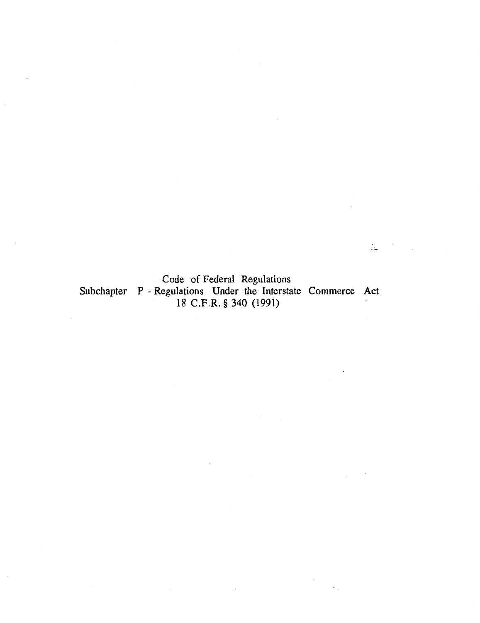Code of Federal Regulations Subchapter P - Regulations Under the Interstate Commerce Act 18 C.F.R. § 340 (1991)  $\epsilon$ 

 $\frac{1}{4\Delta t} = 0.5$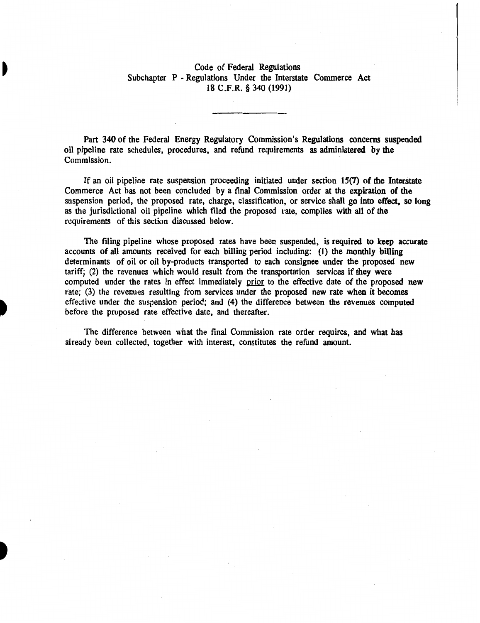### Code of Federal Regulations Subchapter P -Regulations Under the Interstate Commerce Act 18 C.F.R. § 340 (1991)

Part 340 of the Federal Energy Regulatory Commission's Regulations concerns suspended oil pipeline rate schedules, procedures, and refund requirements as administered by the Commission.

If an oil pipeline rate suspension proceeding initiated under section 15(7) of the Interstate Commerce Act has not been concluded by a final Commission order at the expiration of the suspension period, the proposed rate, charge, classification, or service shall go into effect, so long as the jurisdictional oil pipeline which filed the proposed rate, complies with all of the requirements of this section discussed below.

The filing pipeline whose proposed rates have been suspended, is required to keep accurate accounts of all amounts received for each billing period including: (1) the monthly billing determinants of oil or oil by-products transported to each consignee under the proposed new tariff; (2) the revenues which would result from the transportation services if they were computed under the rates in effect immediately prior to the effective date of the proposed new rate; (3) the revenues resulting from services under the proposed new rate when it becomes effective under the suspension period; and (4) the difference between the revenues computed before the proposed rate effective date, and thereafter.

The difference between what the final Commission rate order requires, and what has already been collected, together with interest, constitutes the refund amount.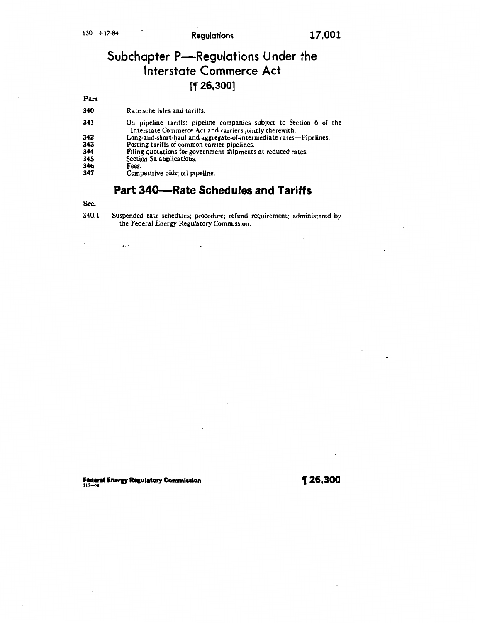$\ddot{\cdot}$ 

# Subchapter P-Regulations Under the Interstate Commerce Act  $[$  1 26,300]

Part

340 Rate schedules and tariffs.

- 341 Oil pipeline tariffs: pipeline companies subject to Section 6 of the Interstate Commerce Act and carriers jointly therewith.
- 342 Long-and-short-haul and aggregate-of-intermediate rates—Pipelines.<br>343 Posting tariffs of common carrier pipelines.<br>344 Filing quotations for government shipments at reduced rates.
- Posting tariffs of common carrier pipelines.
- 344 Filing quotations for government shipments at reduced rates.<br>345 Section 5a applications.<br>346 Fees. Competitive bids; oil pipeline.
- Section 5a applications.

 $\mathbf{z}$  ,  $\mathbf{z}$ 

- Fees.
- Competitive bids; oil pipeline.

## Part 340-Rate Schedules and Tariffs

#### Sec.

340.1 Suspended rate schedules; procedure; refund requirement; administered by the Federal Energy Regulatory Commission.

 $\overline{a}$ 

Federal Energy Regulatory Commission  $\int_{312-06}^{\infty}$  26,300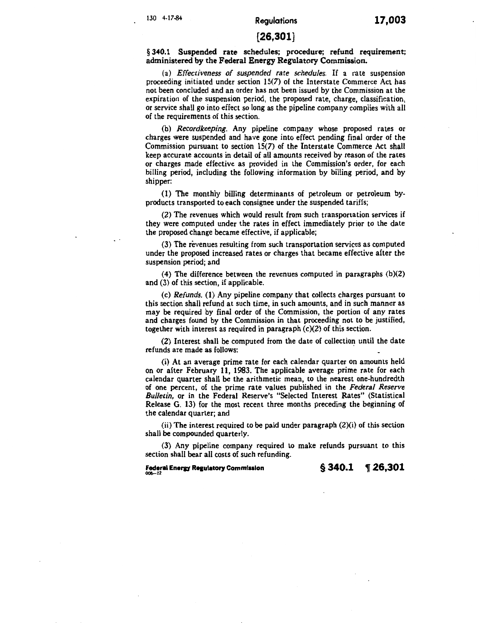## 130 4-17-84 Regulations 17,003

#### [26,301]

#### § 340.1 Suspended rate schedules; procedure; refund requirement; administered by the Federal Energy Regulatory Commission.

(a) *Effectiveness of suspended rate schedules.* If a rate suspension proceeding initiated under section 15(7) of the Interstate Commerce Act has not been concluded and an order has not been issued by the Commission at the expiration of the suspension period, the proposed rate, charge, classification, or service shall go into effect so long as the pipeline company complies with all of the requirements of this section.

(b) *Recordkeeping.* Any pipeline company whose proposed rates or charges were suspended and have gone into effect pending final order of the Commission pursuant to section 15(7) of the Interstate Commerce Act shall keep accurate accounts in detail of all amounts received by reason of the rates or charges made effective as provided in the Commission's order, for each billing period, including the following information by billing period, and by shipper:

(1) The monthly billing determinants of petroleum or petroleum byproducts transported to each consignee under the suspended tariffs;

(2) The revenues which would result from such transportation services if they were computed under the rates in effect immediately prior to the date the proposed change became effective, if applicable;

(3) The revenues resulting from such transportation services as computed under the proposed increased rates or charges that became effective after the suspension period; and

(4) The difference between the revenues computed in paragraphs (b)(2) and (3) of this section, if applicable.

(c) *Refunds.* (1) Any pipeline company that collects charges pursuant to this section shall refund at such time, in such amounts, and in such manner as may be required by final order of the Commission, the portion of any rates and charges found by the Commission in that proceeding not to be justified, together with interest as required in paragraph (c)(2) of this section.

(2) Interest shall be computed from the date of collection until the date refunds are made as follows:

(i) At an average prime rate for each calendar quarter on amounts held on or after February 11, 1983. The applicable average prime rate for each calendar quarter shall be the arithmetic mean, to the nearest one-hundredth of one percent, of the prime rate values published in the *Federal Reserve Bulletin,* or in the Federal Reserve's "Selected Interest Rates" (Statistical Release G. 13) for the most recent three months preceding the beginning of the calendar quarter; and

(ii) The interest required to be paid under paragraph (2)(i) of this section shall be compounded quarterly.

(3) Any pipeline company required to make refunds pursuant to this section shall bear all costs of such refunding.

Federal Energy Regulatory Commission  $\S 340.1 \quad \text{T} 26,301$